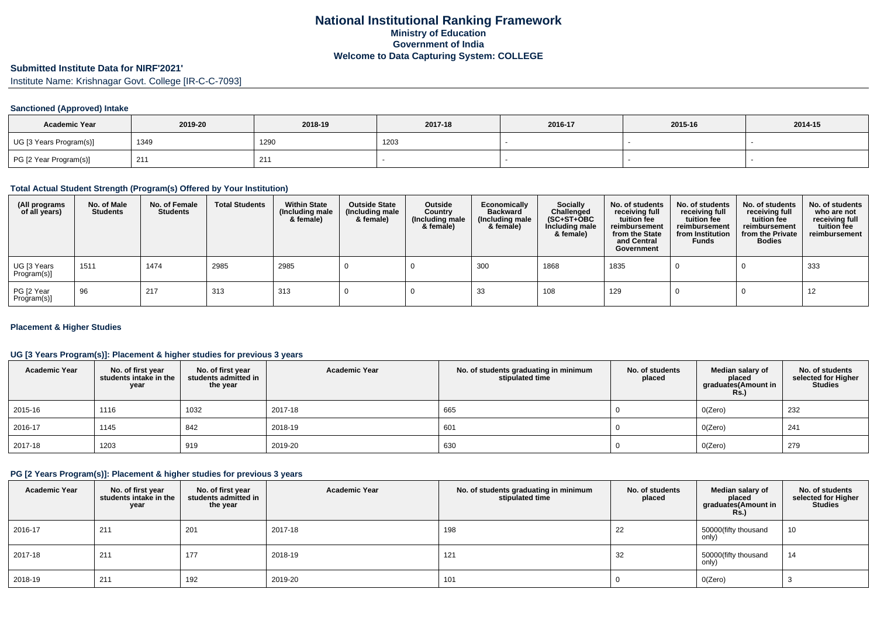# **Submitted Institute Data for NIRF'2021'**

Institute Name: Krishnagar Govt. College [IR-C-C-7093]

## **Sanctioned (Approved) Intake**

| <b>Academic Year</b>    | 2019-20 | 2018-19 | 2017-18 | 2016-17 | 2015-16 | 2014-15 |
|-------------------------|---------|---------|---------|---------|---------|---------|
| UG [3 Years Program(s)] | 1349    | 1290    | 1203    |         |         |         |
| PG [2 Year Program(s)]  | 21'     | 211     |         |         |         |         |

#### **Total Actual Student Strength (Program(s) Offered by Your Institution)**

| (All programs<br>of all years) | No. of Male<br><b>Students</b> | No. of Female<br><b>Students</b> | <b>Total Students</b> | <b>Within State</b><br>(Including male<br>& female) | <b>Outside State</b><br>(Including male<br>& female) | Outside<br>Country<br>(Including male<br>& female) | Economically<br><b>Backward</b><br>(Including male<br>& female) | <b>Socially</b><br>Challenged<br>$(SC+ST+OBC)$<br>Including male<br>& female) | No. of students<br>receiving full<br>tuition fee<br>reimbursement<br>from the State<br>and Central<br>Government | No. of students<br>receiving full<br>tuition fee<br>reimbursement<br>from Institution<br><b>Funds</b> | No. of students<br>receiving full<br>tuition fee<br>reimbursement<br>from the Private<br><b>Bodies</b> | No. of students<br>who are not<br>receiving full<br>tuition fee<br>reimbursement |
|--------------------------------|--------------------------------|----------------------------------|-----------------------|-----------------------------------------------------|------------------------------------------------------|----------------------------------------------------|-----------------------------------------------------------------|-------------------------------------------------------------------------------|------------------------------------------------------------------------------------------------------------------|-------------------------------------------------------------------------------------------------------|--------------------------------------------------------------------------------------------------------|----------------------------------------------------------------------------------|
| UG [3 Years<br>Program(s)]     | 1511                           | 1474                             | 2985                  | 2985                                                |                                                      |                                                    | 300                                                             | 1868                                                                          | 1835                                                                                                             |                                                                                                       |                                                                                                        | 333                                                                              |
| PG [2 Year<br>Program(s)]      | 96                             | 217                              | 313                   | 313                                                 |                                                      |                                                    | -33                                                             | 108                                                                           | 129                                                                                                              |                                                                                                       |                                                                                                        | 12                                                                               |

## **Placement & Higher Studies**

## **UG [3 Years Program(s)]: Placement & higher studies for previous 3 years**

| <b>Academic Year</b> | No. of first year<br>students intake in the<br>year | No. of first year<br>students admitted in<br>the year | <b>Academic Year</b> | No. of students graduating in minimum<br>stipulated time | No. of students<br>placed | Median salary of<br>placed<br>graduates(Amount in<br><b>Rs.)</b> | No. of students<br>selected for Higher<br><b>Studies</b> |
|----------------------|-----------------------------------------------------|-------------------------------------------------------|----------------------|----------------------------------------------------------|---------------------------|------------------------------------------------------------------|----------------------------------------------------------|
| 2015-16              | 1116                                                | 1032                                                  | 2017-18              | 665                                                      |                           | O(Zero)                                                          | 232                                                      |
| 2016-17              | 1145                                                | 842                                                   | 2018-19              | 601                                                      |                           | O(Zero)                                                          | 241                                                      |
| 2017-18              | 1203                                                | 919                                                   | 2019-20              | 630                                                      |                           | O(Zero)                                                          | 279                                                      |

## **PG [2 Years Program(s)]: Placement & higher studies for previous 3 years**

| <b>Academic Year</b> | No. of first year<br>students intake in the<br>year | No. of first year<br>students admitted in<br>the year | <b>Academic Year</b> | No. of students graduating in minimum<br>stipulated time | No. of students<br>placed | Median salary of<br>placed<br>graduates(Amount in<br><b>Rs.)</b> | No. of students<br>selected for Higher<br><b>Studies</b> |
|----------------------|-----------------------------------------------------|-------------------------------------------------------|----------------------|----------------------------------------------------------|---------------------------|------------------------------------------------------------------|----------------------------------------------------------|
| 2016-17              | 211                                                 | 201                                                   | 2017-18              | 198                                                      | 22                        | 50000(fifty thousand<br>only)                                    | 10                                                       |
| 2017-18              | 211                                                 | 177                                                   | 2018-19              | 121                                                      | 32                        | 50000(fifty thousand<br>only)                                    | 14                                                       |
| 2018-19              | 211                                                 | 192                                                   | 2019-20              | 101                                                      |                           | O(Zero)                                                          |                                                          |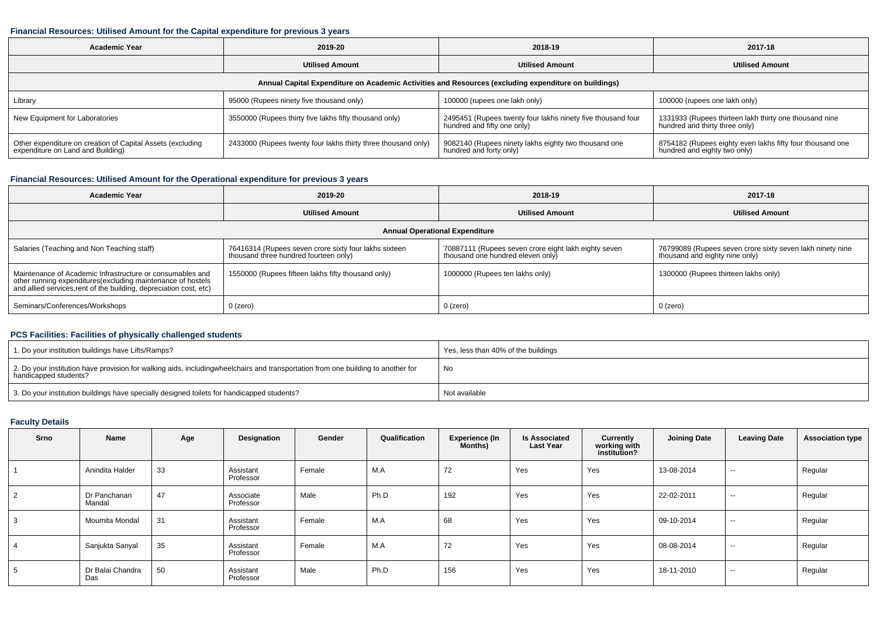#### **Financial Resources: Utilised Amount for the Capital expenditure for previous 3 years**

| <b>Academic Year</b>                                                                            | 2019-20                                                       | 2018-19                                                                                              | 2017-18                                                                                   |
|-------------------------------------------------------------------------------------------------|---------------------------------------------------------------|------------------------------------------------------------------------------------------------------|-------------------------------------------------------------------------------------------|
|                                                                                                 | <b>Utilised Amount</b>                                        | <b>Utilised Amount</b>                                                                               | <b>Utilised Amount</b>                                                                    |
|                                                                                                 |                                                               | Annual Capital Expenditure on Academic Activities and Resources (excluding expenditure on buildings) |                                                                                           |
| Library                                                                                         | 95000 (Rupees ninety five thousand only)                      | 100000 (rupees one lakh only)                                                                        | 100000 (rupees one lakh only)                                                             |
| New Equipment for Laboratories                                                                  | 3550000 (Rupees thirty five lakhs fifty thousand only)        | 2495451 (Rupees twenty four lakhs ninety five thousand four<br>hundred and fifty one only)           | 1331933 (Rupees thirteen lakh thirty one thousand nine<br>hundred and thirty three only)  |
| Other expenditure on creation of Capital Assets (excluding<br>expenditure on Land and Building) | 2433000 (Rupees twenty four lakhs thirty three thousand only) | 9082140 (Rupees ninety lakhs eighty two thousand one<br>hundred and forty only)                      | 8754182 (Rupees eighty even lakhs fifty four thousand one<br>hundred and eighty two only) |

## **Financial Resources: Utilised Amount for the Operational expenditure for previous 3 years**

| <b>Academic Year</b>                                                                                                                                                                            | 2019-20                                                                                        | 2018-19                                                                                   | 2017-18                                                                                     |
|-------------------------------------------------------------------------------------------------------------------------------------------------------------------------------------------------|------------------------------------------------------------------------------------------------|-------------------------------------------------------------------------------------------|---------------------------------------------------------------------------------------------|
|                                                                                                                                                                                                 | <b>Utilised Amount</b>                                                                         | <b>Utilised Amount</b>                                                                    | <b>Utilised Amount</b>                                                                      |
|                                                                                                                                                                                                 |                                                                                                | <b>Annual Operational Expenditure</b>                                                     |                                                                                             |
| Salaries (Teaching and Non Teaching staff)                                                                                                                                                      | 76416314 (Rupees seven crore sixty four lakhs sixteen<br>thousand three hundred fourteen only) | 70887111 (Rupees seven crore eight lakh eighty seven<br>thousand one hundred eleven only) | 76799089 (Rupees seven crore sixty seven lakh ninety nine<br>thousand and eighty nine only) |
| Maintenance of Academic Infrastructure or consumables and<br>other running expenditures (excluding maintenance of hostels<br>and allied services, rent of the building, depreciation cost, etc) | 1550000 (Rupees fifteen lakhs fifty thousand only)                                             | 1000000 (Rupees ten lakhs only)                                                           | 1300000 (Rupees thirteen lakhs only)                                                        |
| Seminars/Conferences/Workshops                                                                                                                                                                  | $0$ (zero)                                                                                     | $0$ (zero)                                                                                | $0$ (zero)                                                                                  |

## **PCS Facilities: Facilities of physically challenged students**

| 1. Do your institution buildings have Lifts/Ramps?                                                                                                        | I Yes, less than 40% of the buildings |
|-----------------------------------------------------------------------------------------------------------------------------------------------------------|---------------------------------------|
| 2. Do your institution have provision for walking aids, includingwheelchairs and transportation from one building to another for<br>handicapped students? | ' No                                  |
| 3. Do your institution buildings have specially designed toilets for handicapped students?                                                                | Not available                         |

## **Faculty Details**

| Srno | Name                    | Age | Designation            | Gender | Qualification | <b>Experience (In</b><br>Months) | <b>Is Associated</b><br><b>Last Year</b> | Currently<br>working with<br>institution? | <b>Joining Date</b> | <b>Leaving Date</b>      | <b>Association type</b> |
|------|-------------------------|-----|------------------------|--------|---------------|----------------------------------|------------------------------------------|-------------------------------------------|---------------------|--------------------------|-------------------------|
|      | Anindita Halder         | 33  | Assistant<br>Professor | Female | M.A           | 72                               | Yes                                      | Yes                                       | 13-08-2014          | $\sim$                   | Regular                 |
|      | Dr Panchanan<br>Mandal  | 47  | Associate<br>Professor | Male   | Ph.D          | 192                              | Yes                                      | Yes                                       | 22-02-2011          | $\sim$                   | Regular                 |
|      | Moumita Mondal          | 31  | Assistant<br>Professor | Female | M.A           | 68                               | Yes                                      | Yes                                       | 09-10-2014          | $\overline{\phantom{a}}$ | Regular                 |
|      | Sanjukta Sanyal         | 35  | Assistant<br>Professor | Female | M.A           | 72                               | Yes                                      | Yes                                       | 08-08-2014          | $\sim$                   | Regular                 |
|      | Dr Balai Chandra<br>Das | 50  | Assistant<br>Professor | Male   | Ph.D          | 156                              | Yes                                      | Yes                                       | 18-11-2010          | $\sim$                   | Regular                 |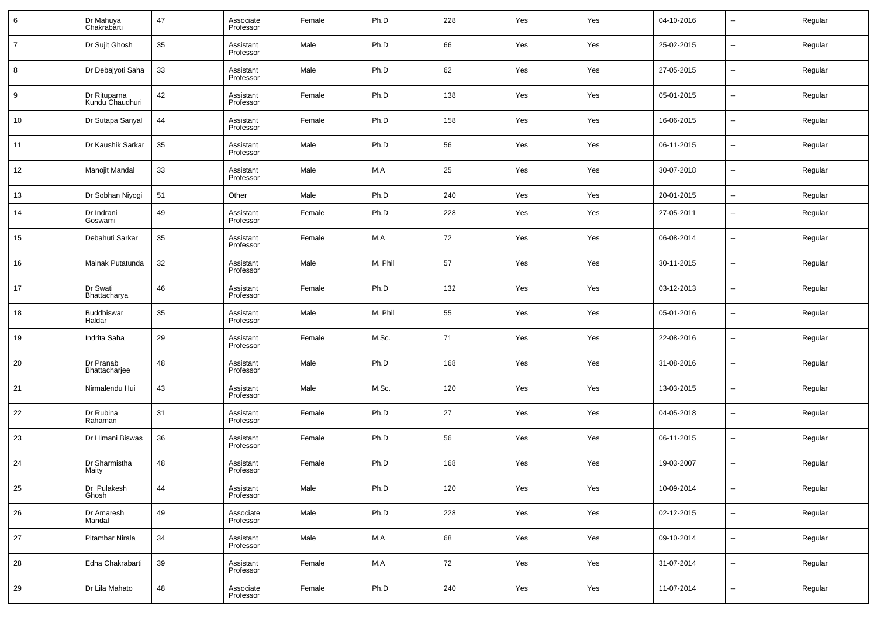| 6              | Dr Mahuya<br>Chakrabarti        | 47 | Associate<br>Professor | Female | Ph.D    | 228 | Yes | Yes | 04-10-2016 | --                       | Regular |
|----------------|---------------------------------|----|------------------------|--------|---------|-----|-----|-----|------------|--------------------------|---------|
| $\overline{7}$ | Dr Sujit Ghosh                  | 35 | Assistant<br>Professor | Male   | Ph.D    | 66  | Yes | Yes | 25-02-2015 | $\overline{\phantom{a}}$ | Regular |
| 8              | Dr Debajyoti Saha               | 33 | Assistant<br>Professor | Male   | Ph.D    | 62  | Yes | Yes | 27-05-2015 | $\overline{\phantom{a}}$ | Regular |
| 9              | Dr Rituparna<br>Kundu Chaudhuri | 42 | Assistant<br>Professor | Female | Ph.D    | 138 | Yes | Yes | 05-01-2015 | $\overline{\phantom{a}}$ | Regular |
| 10             | Dr Sutapa Sanyal                | 44 | Assistant<br>Professor | Female | Ph.D    | 158 | Yes | Yes | 16-06-2015 | $\overline{\phantom{a}}$ | Regular |
| 11             | Dr Kaushik Sarkar               | 35 | Assistant<br>Professor | Male   | Ph.D    | 56  | Yes | Yes | 06-11-2015 | $\overline{\phantom{a}}$ | Regular |
| 12             | Manojit Mandal                  | 33 | Assistant<br>Professor | Male   | M.A     | 25  | Yes | Yes | 30-07-2018 | $\overline{\phantom{a}}$ | Regular |
| 13             | Dr Sobhan Niyogi                | 51 | Other                  | Male   | Ph.D    | 240 | Yes | Yes | 20-01-2015 | $\overline{\phantom{a}}$ | Regular |
| 14             | Dr Indrani<br>Goswami           | 49 | Assistant<br>Professor | Female | Ph.D    | 228 | Yes | Yes | 27-05-2011 | $\overline{\phantom{a}}$ | Regular |
| 15             | Debahuti Sarkar                 | 35 | Assistant<br>Professor | Female | M.A     | 72  | Yes | Yes | 06-08-2014 | $\overline{\phantom{a}}$ | Regular |
| 16             | Mainak Putatunda                | 32 | Assistant<br>Professor | Male   | M. Phil | 57  | Yes | Yes | 30-11-2015 | $\overline{\phantom{a}}$ | Regular |
| 17             | Dr Swati<br>Bhattacharya        | 46 | Assistant<br>Professor | Female | Ph.D    | 132 | Yes | Yes | 03-12-2013 | $\overline{\phantom{a}}$ | Regular |
| 18             | Buddhiswar<br>Haldar            | 35 | Assistant<br>Professor | Male   | M. Phil | 55  | Yes | Yes | 05-01-2016 | $\overline{\phantom{a}}$ | Regular |
| 19             | Indrita Saha                    | 29 | Assistant<br>Professor | Female | M.Sc.   | 71  | Yes | Yes | 22-08-2016 | $\overline{\phantom{a}}$ | Regular |
| 20             | Dr Pranab<br>Bhattacharjee      | 48 | Assistant<br>Professor | Male   | Ph.D    | 168 | Yes | Yes | 31-08-2016 | $\overline{\phantom{a}}$ | Regular |
| 21             | Nirmalendu Hui                  | 43 | Assistant<br>Professor | Male   | M.Sc.   | 120 | Yes | Yes | 13-03-2015 | $\overline{\phantom{a}}$ | Regular |
| 22             | Dr Rubina<br>Rahaman            | 31 | Assistant<br>Professor | Female | Ph.D    | 27  | Yes | Yes | 04-05-2018 | $\overline{\phantom{a}}$ | Regular |
| 23             | Dr Himani Biswas                | 36 | Assistant<br>Professor | Female | Ph.D    | 56  | Yes | Yes | 06-11-2015 | $\overline{\phantom{a}}$ | Regular |
| 24             | Dr Sharmistha<br>Maity          | 48 | Assistant<br>Professor | Female | Ph.D    | 168 | Yes | Yes | 19-03-2007 | --                       | Regular |
| 25             | Dr Pulakesh<br>Ghosh            | 44 | Assistant<br>Professor | Male   | Ph.D    | 120 | Yes | Yes | 10-09-2014 | $\overline{\phantom{a}}$ | Regular |
| 26             | Dr Amaresh<br>Mandal            | 49 | Associate<br>Professor | Male   | Ph.D    | 228 | Yes | Yes | 02-12-2015 | ۰.                       | Regular |
| 27             | Pitambar Nirala                 | 34 | Assistant<br>Professor | Male   | M.A     | 68  | Yes | Yes | 09-10-2014 | ۰.                       | Regular |
| 28             | Edha Chakrabarti                | 39 | Assistant<br>Professor | Female | M.A     | 72  | Yes | Yes | 31-07-2014 | ۰.                       | Regular |
| 29             | Dr Lila Mahato                  | 48 | Associate<br>Professor | Female | Ph.D    | 240 | Yes | Yes | 11-07-2014 | $\overline{\phantom{a}}$ | Regular |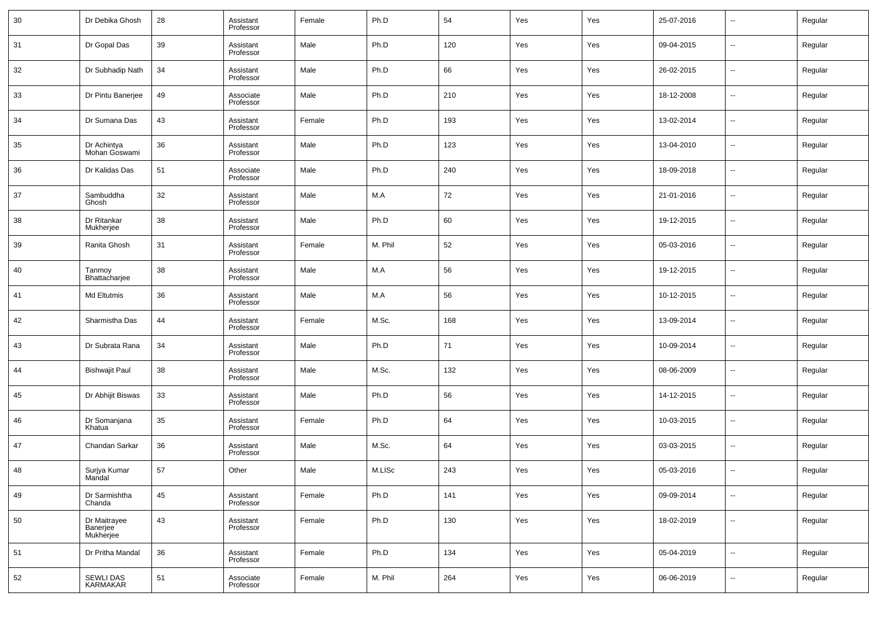| 30 | Dr Debika Ghosh                       | 28 | Assistant<br>Professor | Female | Ph.D    | 54  | Yes | Yes | 25-07-2016 | $\sim$                   | Regular |
|----|---------------------------------------|----|------------------------|--------|---------|-----|-----|-----|------------|--------------------------|---------|
| 31 | Dr Gopal Das                          | 39 | Assistant<br>Professor | Male   | Ph.D    | 120 | Yes | Yes | 09-04-2015 | $\overline{\phantom{a}}$ | Regular |
| 32 | Dr Subhadip Nath                      | 34 | Assistant<br>Professor | Male   | Ph.D    | 66  | Yes | Yes | 26-02-2015 | $\sim$                   | Regular |
| 33 | Dr Pintu Banerjee                     | 49 | Associate<br>Professor | Male   | Ph.D    | 210 | Yes | Yes | 18-12-2008 | $\sim$                   | Regular |
| 34 | Dr Sumana Das                         | 43 | Assistant<br>Professor | Female | Ph.D    | 193 | Yes | Yes | 13-02-2014 | $\sim$                   | Regular |
| 35 | Dr Achintya<br>Mohan Goswami          | 36 | Assistant<br>Professor | Male   | Ph.D    | 123 | Yes | Yes | 13-04-2010 | $\sim$                   | Regular |
| 36 | Dr Kalidas Das                        | 51 | Associate<br>Professor | Male   | Ph.D    | 240 | Yes | Yes | 18-09-2018 | $\overline{\phantom{a}}$ | Regular |
| 37 | Sambuddha<br>Ghosh                    | 32 | Assistant<br>Professor | Male   | M.A     | 72  | Yes | Yes | 21-01-2016 | $\sim$                   | Regular |
| 38 | Dr Ritankar<br>Mukherjee              | 38 | Assistant<br>Professor | Male   | Ph.D    | 60  | Yes | Yes | 19-12-2015 | $\overline{\phantom{a}}$ | Regular |
| 39 | Ranita Ghosh                          | 31 | Assistant<br>Professor | Female | M. Phil | 52  | Yes | Yes | 05-03-2016 | $\sim$                   | Regular |
| 40 | Tanmoy<br>Bhattacharjee               | 38 | Assistant<br>Professor | Male   | M.A     | 56  | Yes | Yes | 19-12-2015 | $\overline{\phantom{a}}$ | Regular |
| 41 | Md Eltutmis                           | 36 | Assistant<br>Professor | Male   | M.A     | 56  | Yes | Yes | 10-12-2015 | $\overline{\phantom{a}}$ | Regular |
| 42 | Sharmistha Das                        | 44 | Assistant<br>Professor | Female | M.Sc.   | 168 | Yes | Yes | 13-09-2014 | --                       | Regular |
| 43 | Dr Subrata Rana                       | 34 | Assistant<br>Professor | Male   | Ph.D    | 71  | Yes | Yes | 10-09-2014 | $\overline{\phantom{a}}$ | Regular |
| 44 | <b>Bishwajit Paul</b>                 | 38 | Assistant<br>Professor | Male   | M.Sc.   | 132 | Yes | Yes | 08-06-2009 | --                       | Regular |
| 45 | Dr Abhijit Biswas                     | 33 | Assistant<br>Professor | Male   | Ph.D    | 56  | Yes | Yes | 14-12-2015 | $\overline{\phantom{a}}$ | Regular |
| 46 | Dr Somanjana<br>Khatua                | 35 | Assistant<br>Professor | Female | Ph.D    | 64  | Yes | Yes | 10-03-2015 | $\sim$                   | Regular |
| 47 | Chandan Sarkar                        | 36 | Assistant<br>Professor | Male   | M.Sc.   | 64  | Yes | Yes | 03-03-2015 | --                       | Regular |
| 48 | Surjya Kumar<br>Mandal                | 57 | Other                  | Male   | M.LISc  | 243 | Yes | Yes | 05-03-2016 | $\overline{a}$           | Regular |
| 49 | Dr Sarmishtha<br>Chanda               | 45 | Assistant<br>Professor | Female | Ph.D    | 141 | Yes | Yes | 09-09-2014 | $\sim$                   | Regular |
| 50 | Dr Maitrayee<br>Banerjee<br>Mukherjee | 43 | Assistant<br>Professor | Female | Ph.D    | 130 | Yes | Yes | 18-02-2019 | $\overline{\phantom{a}}$ | Regular |
| 51 | Dr Pritha Mandal                      | 36 | Assistant<br>Professor | Female | Ph.D    | 134 | Yes | Yes | 05-04-2019 | $\sim$                   | Regular |
| 52 | SEWLI DAS<br>KARMAKAR                 | 51 | Associate<br>Professor | Female | M. Phil | 264 | Yes | Yes | 06-06-2019 | $\overline{\phantom{a}}$ | Regular |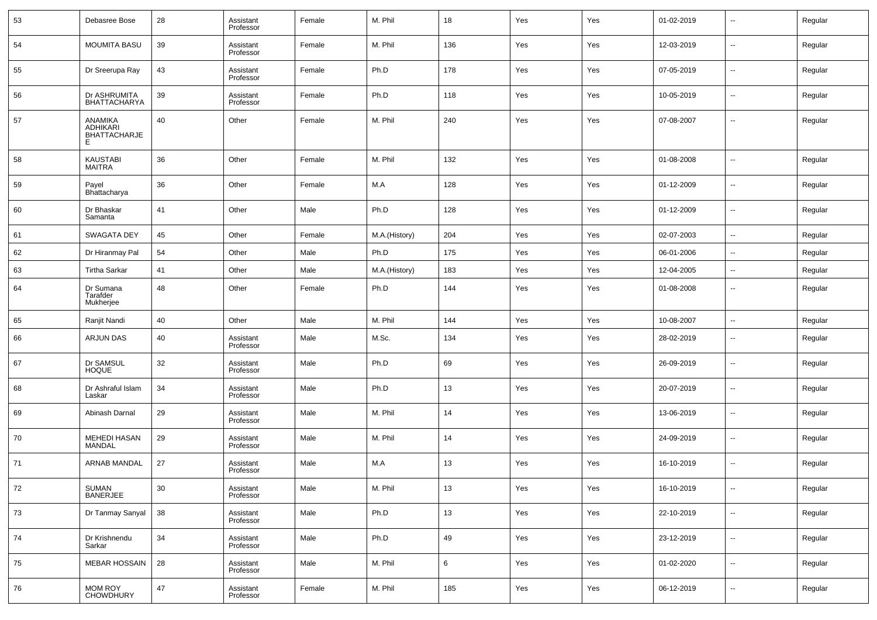| 53 | Debasree Bose                                          | 28 | Assistant<br>Professor | Female | M. Phil       | 18  | Yes | Yes | 01-02-2019 | $\sim$                   | Regular |
|----|--------------------------------------------------------|----|------------------------|--------|---------------|-----|-----|-----|------------|--------------------------|---------|
| 54 | <b>MOUMITA BASU</b>                                    | 39 | Assistant<br>Professor | Female | M. Phil       | 136 | Yes | Yes | 12-03-2019 | --                       | Regular |
| 55 | Dr Sreerupa Ray                                        | 43 | Assistant<br>Professor | Female | Ph.D          | 178 | Yes | Yes | 07-05-2019 | $\overline{\phantom{a}}$ | Regular |
| 56 | Dr ASHRUMITA<br><b>BHATTACHARYA</b>                    | 39 | Assistant<br>Professor | Female | Ph.D          | 118 | Yes | Yes | 10-05-2019 | --                       | Regular |
| 57 | ANAMIKA<br><b>ADHIKARI</b><br><b>BHATTACHARJE</b><br>F | 40 | Other                  | Female | M. Phil       | 240 | Yes | Yes | 07-08-2007 | ш.                       | Regular |
| 58 | <b>KAUSTABI</b><br>MAITRA                              | 36 | Other                  | Female | M. Phil       | 132 | Yes | Yes | 01-08-2008 | --                       | Regular |
| 59 | Payel<br>Bhattacharya                                  | 36 | Other                  | Female | M.A           | 128 | Yes | Yes | 01-12-2009 | --                       | Regular |
| 60 | Dr Bhaskar<br>Samanta                                  | 41 | Other                  | Male   | Ph.D          | 128 | Yes | Yes | 01-12-2009 | --                       | Regular |
| 61 | SWAGATA DEY                                            | 45 | Other                  | Female | M.A.(History) | 204 | Yes | Yes | 02-07-2003 | $\sim$                   | Regular |
| 62 | Dr Hiranmay Pal                                        | 54 | Other                  | Male   | Ph.D          | 175 | Yes | Yes | 06-01-2006 | $\sim$                   | Regular |
| 63 | <b>Tirtha Sarkar</b>                                   | 41 | Other                  | Male   | M.A.(History) | 183 | Yes | Yes | 12-04-2005 | $\overline{\phantom{a}}$ | Regular |
| 64 | Dr Sumana<br>Tarafder<br>Mukherjee                     | 48 | Other                  | Female | Ph.D          | 144 | Yes | Yes | 01-08-2008 | --                       | Regular |
| 65 | Ranjit Nandi                                           | 40 | Other                  | Male   | M. Phil       | 144 | Yes | Yes | 10-08-2007 | $\overline{\phantom{a}}$ | Regular |
| 66 | ARJUN DAS                                              | 40 | Assistant<br>Professor | Male   | M.Sc.         | 134 | Yes | Yes | 28-02-2019 | $\sim$                   | Regular |
| 67 | Dr SAMSUL<br><b>HOQUE</b>                              | 32 | Assistant<br>Professor | Male   | Ph.D          | 69  | Yes | Yes | 26-09-2019 | $\sim$                   | Regular |
| 68 | Dr Ashraful Islam<br>Laskar                            | 34 | Assistant<br>Professor | Male   | Ph.D          | 13  | Yes | Yes | 20-07-2019 | н.                       | Regular |
| 69 | Abinash Darnal                                         | 29 | Assistant<br>Professor | Male   | M. Phil       | 14  | Yes | Yes | 13-06-2019 | $\sim$                   | Regular |
| 70 | <b>MEHEDI HASAN</b><br>MANDAL                          | 29 | Assistant<br>Professor | Male   | M. Phil       | 14  | Yes | Yes | 24-09-2019 | --                       | Regular |
| 71 | ARNAB MANDAL                                           | 27 | Assistant<br>Professor | Male   | M.A           | 13  | Yes | Yes | 16-10-2019 | --                       | Regular |
| 72 | SUMAN<br><b>BANERJEE</b>                               | 30 | Assistant<br>Professor | Male   | M. Phil       | 13  | Yes | Yes | 16-10-2019 | $\sim$                   | Regular |
| 73 | Dr Tanmay Sanyal                                       | 38 | Assistant<br>Professor | Male   | Ph.D          | 13  | Yes | Yes | 22-10-2019 | $\sim$                   | Regular |
| 74 | Dr Krishnendu<br>Sarkar                                | 34 | Assistant<br>Professor | Male   | Ph.D          | 49  | Yes | Yes | 23-12-2019 | $\sim$                   | Regular |
| 75 | <b>MEBAR HOSSAIN</b>                                   | 28 | Assistant<br>Professor | Male   | M. Phil       | 6   | Yes | Yes | 01-02-2020 | $\overline{\phantom{a}}$ | Regular |
| 76 | <b>MOM ROY</b><br><b>CHOWDHURY</b>                     | 47 | Assistant<br>Professor | Female | M. Phil       | 185 | Yes | Yes | 06-12-2019 | $\sim$                   | Regular |